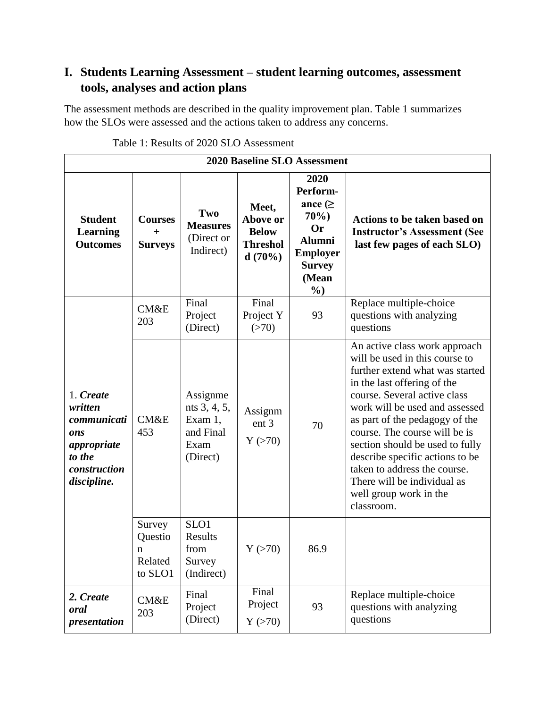## **I. Students Learning Assessment – student learning outcomes, assessment tools, analyses and action plans**

The assessment methods are described in the quality improvement plan. Table 1 summarizes how the SLOs were assessed and the actions taken to address any concerns.

| <b>2020 Baseline SLO Assessment</b>                                                                |                                                    |                                                                      |                                                                |                                                                                                                               |                                                                                                                                                                                                                                                                                                                                                                                                                                                     |  |
|----------------------------------------------------------------------------------------------------|----------------------------------------------------|----------------------------------------------------------------------|----------------------------------------------------------------|-------------------------------------------------------------------------------------------------------------------------------|-----------------------------------------------------------------------------------------------------------------------------------------------------------------------------------------------------------------------------------------------------------------------------------------------------------------------------------------------------------------------------------------------------------------------------------------------------|--|
| <b>Student</b><br><b>Learning</b><br><b>Outcomes</b>                                               | <b>Courses</b><br>$\overline{+}$<br><b>Surveys</b> | Two<br><b>Measures</b><br>(Direct or<br>Indirect)                    | Meet,<br>Above or<br><b>Below</b><br><b>Threshol</b><br>d(70%) | 2020<br>Perform-<br>ance $( \geq$<br>70%<br><b>Or</b><br><b>Alumni</b><br><b>Employer</b><br><b>Survey</b><br>(Mean<br>$\%$ ) | <b>Actions to be taken based on</b><br><b>Instructor's Assessment (See</b><br>last few pages of each SLO)                                                                                                                                                                                                                                                                                                                                           |  |
| 1. Create<br>written<br>communicati<br>ons<br>appropriate<br>to the<br>construction<br>discipline. | CM&E<br>203                                        | Final<br>Project<br>(Direct)                                         | Final<br>Project Y<br>(>70)                                    | 93                                                                                                                            | Replace multiple-choice<br>questions with analyzing<br>questions                                                                                                                                                                                                                                                                                                                                                                                    |  |
|                                                                                                    | <b>CM&amp;E</b><br>453                             | Assignme<br>nts 3, 4, 5,<br>Exam 1,<br>and Final<br>Exam<br>(Direct) | Assignm<br>ent <sub>3</sub><br>Y(>70)                          | 70                                                                                                                            | An active class work approach<br>will be used in this course to<br>further extend what was started<br>in the last offering of the<br>course. Several active class<br>work will be used and assessed<br>as part of the pedagogy of the<br>course. The course will be is<br>section should be used to fully<br>describe specific actions to be<br>taken to address the course.<br>There will be individual as<br>well group work in the<br>classroom. |  |
|                                                                                                    | Survey<br>Questio<br>n<br>Related<br>to SLO1       | SLO1<br><b>Results</b><br>from<br>Survey<br>(Indirect)               | Y(>70)                                                         | 86.9                                                                                                                          |                                                                                                                                                                                                                                                                                                                                                                                                                                                     |  |
| 2. Create<br>oral<br>presentation                                                                  | CM&E<br>203                                        | Final<br>Project<br>(Direct)                                         | Final<br>Project<br>Y(>70)                                     | 93                                                                                                                            | Replace multiple-choice<br>questions with analyzing<br>questions                                                                                                                                                                                                                                                                                                                                                                                    |  |

Table 1: Results of 2020 SLO Assessment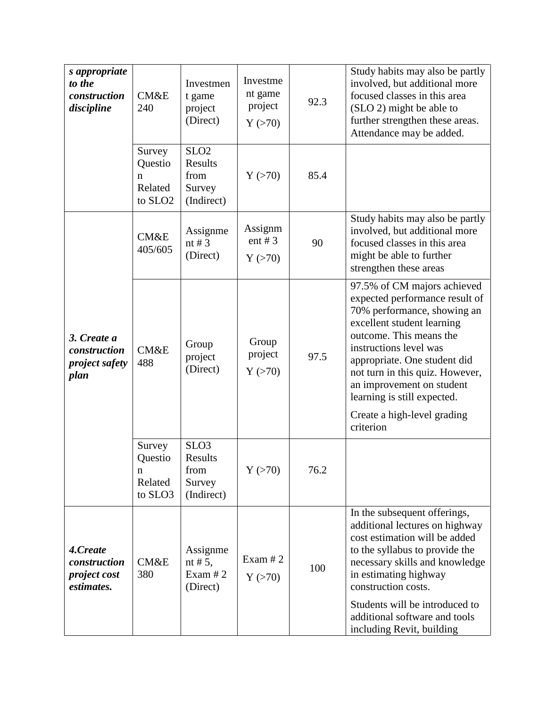| s appropriate<br>to the<br>construction<br>discipline         | CM&E<br>240                                              | Investmen<br>t game<br>project<br>(Direct)                  | Investme<br>nt game<br>project<br>Y(>70) | 92.3 | Study habits may also be partly<br>involved, but additional more<br>focused classes in this area<br>(SLO 2) might be able to<br>further strengthen these areas.<br>Attendance may be added.                                                                                                                                                                |
|---------------------------------------------------------------|----------------------------------------------------------|-------------------------------------------------------------|------------------------------------------|------|------------------------------------------------------------------------------------------------------------------------------------------------------------------------------------------------------------------------------------------------------------------------------------------------------------------------------------------------------------|
|                                                               | Survey<br>Questio<br>n<br>Related<br>to SLO <sub>2</sub> | SLO <sub>2</sub><br>Results<br>from<br>Survey<br>(Indirect) | Y(>70)                                   | 85.4 |                                                                                                                                                                                                                                                                                                                                                            |
|                                                               | CM&E<br>405/605                                          | Assignme<br>nt # $3$<br>(Direct)                            | Assignm<br>ent # $3$<br>Y(>70)           | 90   | Study habits may also be partly<br>involved, but additional more<br>focused classes in this area<br>might be able to further<br>strengthen these areas                                                                                                                                                                                                     |
| 3. Create a<br>construction<br><i>project safety</i><br>plan  | CM&E<br>488                                              | Group<br>project<br>(Direct)                                | Group<br>project<br>Y(>70)               | 97.5 | 97.5% of CM majors achieved<br>expected performance result of<br>70% performance, showing an<br>excellent student learning<br>outcome. This means the<br>instructions level was<br>appropriate. One student did<br>not turn in this quiz. However,<br>an improvement on student<br>learning is still expected.<br>Create a high-level grading<br>criterion |
|                                                               | Survey<br>Questio<br>n<br>Related<br>to SLO3             | SLO <sub>3</sub><br>Results<br>from<br>Survey<br>(Indirect) | Y(>70)                                   | 76.2 |                                                                                                                                                                                                                                                                                                                                                            |
| 4.Create<br>construction<br><i>project cost</i><br>estimates. | CM&E<br>380                                              | Assignme<br>nt # $5$ ,<br>Exam $#2$<br>(Direct)             | Exam $#2$<br>Y(>70)                      | 100  | In the subsequent offerings,<br>additional lectures on highway<br>cost estimation will be added<br>to the syllabus to provide the<br>necessary skills and knowledge<br>in estimating highway<br>construction costs.<br>Students will be introduced to<br>additional software and tools<br>including Revit, building                                        |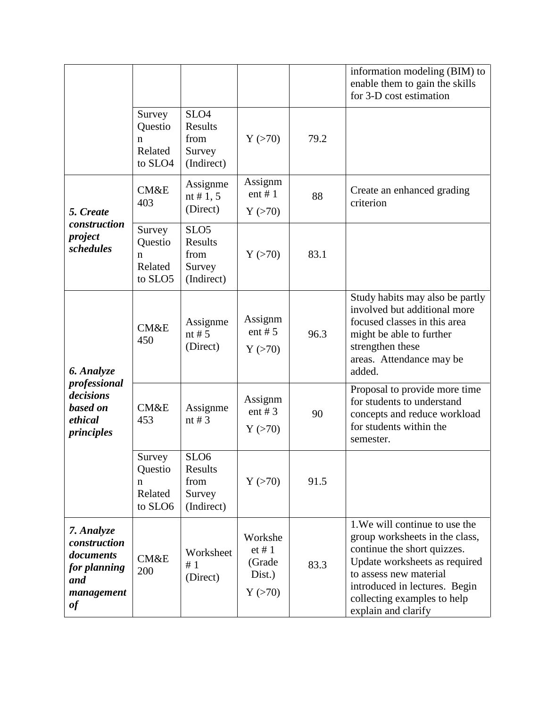|                                                                                    |                                              |                                                             |                                                 |      | information modeling (BIM) to<br>enable them to gain the skills<br>for 3-D cost estimation                                                                                                                                                        |
|------------------------------------------------------------------------------------|----------------------------------------------|-------------------------------------------------------------|-------------------------------------------------|------|---------------------------------------------------------------------------------------------------------------------------------------------------------------------------------------------------------------------------------------------------|
|                                                                                    | Survey<br>Questio<br>n<br>Related<br>to SLO4 | SLO <sub>4</sub><br>Results<br>from<br>Survey<br>(Indirect) | Y(>70)                                          | 79.2 |                                                                                                                                                                                                                                                   |
| 5. Create                                                                          | CM&E<br>403                                  | Assignme<br>nt # 1, 5<br>(Direct)                           | Assignm<br>ent $# 1$<br>Y(>70)                  | 88   | Create an enhanced grading<br>criterion                                                                                                                                                                                                           |
| construction<br>project<br>schedules                                               | Survey<br>Questio<br>n<br>Related<br>to SLO5 | SLO <sub>5</sub><br>Results<br>from<br>Survey<br>(Indirect) | Y(>70)                                          | 83.1 |                                                                                                                                                                                                                                                   |
| 6. Analyze<br>professional<br>decisions<br>based on<br>ethical<br>principles       | CM&E<br>450                                  | Assignme<br>nt # $5$<br>(Direct)                            | Assignm<br>ent # $5$<br>Y(>70)                  | 96.3 | Study habits may also be partly<br>involved but additional more<br>focused classes in this area<br>might be able to further<br>strengthen these<br>areas. Attendance may be<br>added.                                                             |
|                                                                                    | <b>CM&amp;E</b><br>453                       | Assignme<br>nt # $3$                                        | Assignm<br>ent # $3$<br>Y(>70)                  | 90   | Proposal to provide more time<br>for students to understand<br>concepts and reduce workload<br>for students within the<br>semester.                                                                                                               |
|                                                                                    | Survey<br>Questio<br>n<br>Related<br>to SLO6 | SLO <sub>6</sub><br>Results<br>from<br>Survey<br>(Indirect) | Y(>70)                                          | 91.5 |                                                                                                                                                                                                                                                   |
| 7. Analyze<br>construction<br>documents<br>for planning<br>and<br>management<br>of | CM&E<br>200                                  | Worksheet<br>#1<br>(Direct)                                 | Workshe<br>et # 1<br>(Grade<br>Dist.)<br>Y(>70) | 83.3 | 1. We will continue to use the<br>group worksheets in the class,<br>continue the short quizzes.<br>Update worksheets as required<br>to assess new material<br>introduced in lectures. Begin<br>collecting examples to help<br>explain and clarify |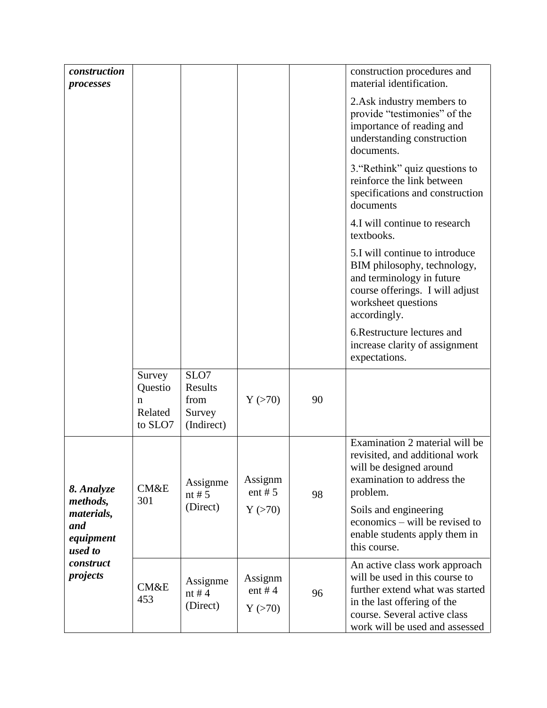| construction<br>processes                                          |                                              |                                                 |                             |    | construction procedures and<br>material identification.                                                                                                                                             |
|--------------------------------------------------------------------|----------------------------------------------|-------------------------------------------------|-----------------------------|----|-----------------------------------------------------------------------------------------------------------------------------------------------------------------------------------------------------|
|                                                                    |                                              |                                                 |                             |    | 2. Ask industry members to<br>provide "testimonies" of the<br>importance of reading and<br>understanding construction<br>documents.                                                                 |
|                                                                    |                                              |                                                 |                             |    | 3. "Rethink" quiz questions to<br>reinforce the link between<br>specifications and construction<br>documents                                                                                        |
|                                                                    |                                              |                                                 |                             |    | 4.I will continue to research<br>textbooks.                                                                                                                                                         |
|                                                                    |                                              |                                                 |                             |    | 5.I will continue to introduce<br>BIM philosophy, technology,<br>and terminology in future<br>course offerings. I will adjust<br>worksheet questions<br>accordingly.                                |
|                                                                    |                                              |                                                 |                             |    | 6. Restructure lectures and<br>increase clarity of assignment<br>expectations.                                                                                                                      |
|                                                                    | Survey<br>Questio<br>n<br>Related<br>to SLO7 | SLO7<br>Results<br>from<br>Survey<br>(Indirect) | Y(>70)                      | 90 |                                                                                                                                                                                                     |
| 8. Analyze<br>methods,                                             | CM&E<br>301                                  | Assignme<br>nt # $5$                            | Assignm<br>ent # $5$        | 98 | Examination 2 material will be<br>revisited, and additional work<br>will be designed around<br>examination to address the<br>problem.                                                               |
| materials,<br>and<br>equipment<br>used to<br>construct<br>projects |                                              | (Direct)                                        | Y(>70)                      |    | Soils and engineering<br>economics – will be revised to<br>enable students apply them in<br>this course.                                                                                            |
|                                                                    | <b>CM&amp;E</b><br>453                       | Assignme<br>nt # $4$<br>(Direct)                | Assignm<br>ent #4<br>Y(>70) | 96 | An active class work approach<br>will be used in this course to<br>further extend what was started<br>in the last offering of the<br>course. Several active class<br>work will be used and assessed |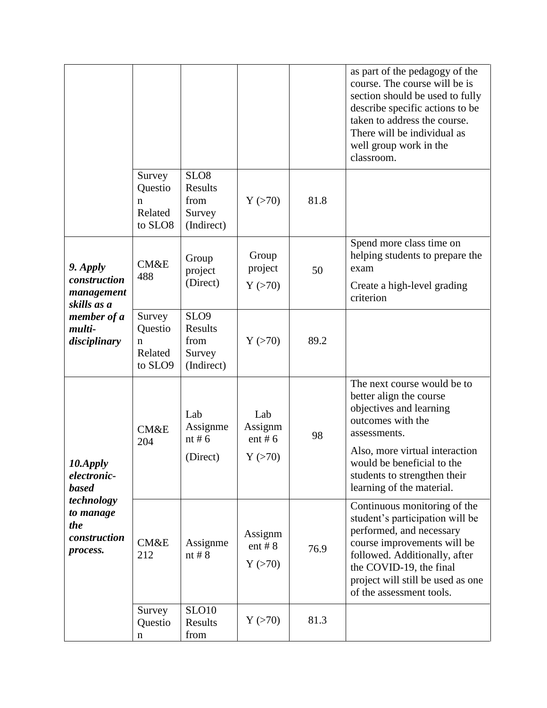|                                                                                                       |                                              |                                                             |                                       |      | as part of the pedagogy of the<br>course. The course will be is<br>section should be used to fully<br>describe specific actions to be<br>taken to address the course.<br>There will be individual as<br>well group work in the<br>classroom.            |
|-------------------------------------------------------------------------------------------------------|----------------------------------------------|-------------------------------------------------------------|---------------------------------------|------|---------------------------------------------------------------------------------------------------------------------------------------------------------------------------------------------------------------------------------------------------------|
|                                                                                                       | Survey<br>Questio<br>n<br>Related<br>to SLO8 | SLO <sub>8</sub><br>Results<br>from<br>Survey<br>(Indirect) | Y(>70)                                | 81.8 |                                                                                                                                                                                                                                                         |
| 9. Apply<br>construction<br>management<br>skills as a<br>member of a<br>multi-<br>disciplinary        | CM&E<br>488                                  | Group<br>project<br>(Direct)                                | Group<br>project<br>Y(>70)            | 50   | Spend more class time on<br>helping students to prepare the<br>exam<br>Create a high-level grading<br>criterion                                                                                                                                         |
|                                                                                                       | Survey<br>Questio<br>n<br>Related<br>to SLO9 | SLO <sub>9</sub><br>Results<br>from<br>Survey<br>(Indirect) | Y(>70)                                | 89.2 |                                                                                                                                                                                                                                                         |
| 10.Apply<br>electronic-<br><b>based</b><br>technology<br>to manage<br>the<br>construction<br>process. | <b>CM&amp;E</b><br>204                       | Lab<br>Assignme<br>nt # $6$<br>(Direct)                     | Lab<br>Assignm<br>ent # $6$<br>Y(>70) | 98   | The next course would be to<br>better align the course<br>objectives and learning<br>outcomes with the<br>assessments.<br>Also, more virtual interaction<br>would be beneficial to the<br>students to strengthen their<br>learning of the material.     |
|                                                                                                       | CM&E<br>212                                  | Assignme<br>nt $#8$                                         | Assignm<br>ent # $8$<br>Y(>70)        | 76.9 | Continuous monitoring of the<br>student's participation will be<br>performed, and necessary<br>course improvements will be<br>followed. Additionally, after<br>the COVID-19, the final<br>project will still be used as one<br>of the assessment tools. |
|                                                                                                       | Survey<br>Questio<br>n                       | <b>SLO10</b><br>Results<br>from                             | Y(>70)                                | 81.3 |                                                                                                                                                                                                                                                         |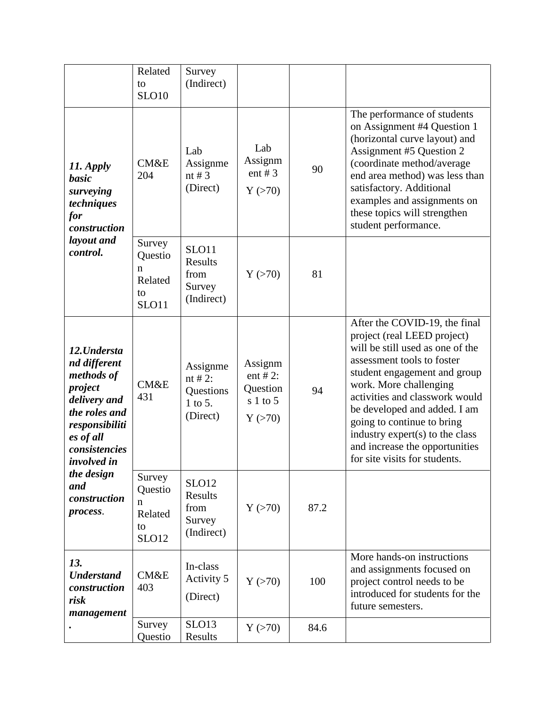|                                                                                                                                                                                                               | Related<br>to<br><b>SLO10</b>                           | Survey<br>(Indirect)                                         |                                                        |      |                                                                                                                                                                                                                                                                                                                                                                                                |
|---------------------------------------------------------------------------------------------------------------------------------------------------------------------------------------------------------------|---------------------------------------------------------|--------------------------------------------------------------|--------------------------------------------------------|------|------------------------------------------------------------------------------------------------------------------------------------------------------------------------------------------------------------------------------------------------------------------------------------------------------------------------------------------------------------------------------------------------|
| 11. Apply<br>basic<br>surveying<br>techniques<br>for<br>construction<br>layout and<br>control.                                                                                                                | <b>CM&amp;E</b><br>204                                  | Lab<br>Assignme<br>nt # $3$<br>(Direct)                      | Lab<br>Assignm<br>ent # $3$<br>Y(>70)                  | 90   | The performance of students<br>on Assignment #4 Question 1<br>(horizontal curve layout) and<br>Assignment #5 Question 2<br>(coordinate method/average<br>end area method) was less than<br>satisfactory. Additional<br>examples and assignments on<br>these topics will strengthen<br>student performance.                                                                                     |
|                                                                                                                                                                                                               | Survey<br>Questio<br>n<br>Related<br>to<br>SLO11        | SLO11<br>Results<br>from<br>Survey<br>(Indirect)             | Y(>70)                                                 | 81   |                                                                                                                                                                                                                                                                                                                                                                                                |
| 12. Understa<br>nd different<br>methods of<br>project<br>delivery and<br>the roles and<br>responsibiliti<br>es of all<br>consistencies<br><i>involved in</i><br>the design<br>and<br>construction<br>process. | CM&E<br>431                                             | Assignme<br>nt # 2:<br>Questions<br>1 to 5.<br>(Direct)      | Assignm<br>ent # 2:<br>Question<br>$s1$ to 5<br>Y(>70) | 94   | After the COVID-19, the final<br>project (real LEED project)<br>will be still used as one of the<br>assessment tools to foster<br>student engagement and group<br>work. More challenging<br>activities and classwork would<br>be developed and added. I am<br>going to continue to bring<br>industry expert(s) to the class<br>and increase the opportunities<br>for site visits for students. |
|                                                                                                                                                                                                               | Survey<br>Questio<br>n<br>Related<br>to<br><b>SLO12</b> | SLO <sub>12</sub><br>Results<br>from<br>Survey<br>(Indirect) | Y(>70)                                                 | 87.2 |                                                                                                                                                                                                                                                                                                                                                                                                |
| 13.<br><b>Understand</b><br>construction<br>risk<br>management                                                                                                                                                | CM&E<br>403                                             | In-class<br>Activity 5<br>(Direct)                           | Y(>70)                                                 | 100  | More hands-on instructions<br>and assignments focused on<br>project control needs to be<br>introduced for students for the<br>future semesters.                                                                                                                                                                                                                                                |
|                                                                                                                                                                                                               | Survey<br>Questio                                       | SLO13<br>Results                                             | Y(>70)                                                 | 84.6 |                                                                                                                                                                                                                                                                                                                                                                                                |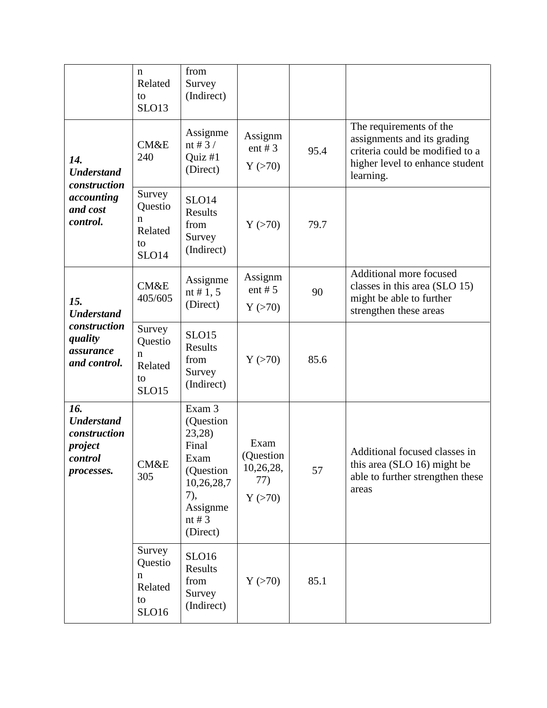|                                                                              | n<br>Related<br>to<br>SLO13                                  | from<br>Survey<br>(Indirect)                                                                                         |                                                 |      |                                                                                                                                           |
|------------------------------------------------------------------------------|--------------------------------------------------------------|----------------------------------------------------------------------------------------------------------------------|-------------------------------------------------|------|-------------------------------------------------------------------------------------------------------------------------------------------|
| 14.<br><b>Understand</b><br>construction                                     | CM&E<br>240                                                  | Assignme<br>nt # $3/$<br>Quiz $#1$<br>(Direct)                                                                       | Assignm<br>ent # $3$<br>Y(>70)                  | 95.4 | The requirements of the<br>assignments and its grading<br>criteria could be modified to a<br>higher level to enhance student<br>learning. |
| accounting<br>and cost<br>control.                                           | Survey<br>Questio<br>n<br>Related<br>to<br>SLO <sub>14</sub> | SLO <sub>14</sub><br><b>Results</b><br>from<br>Survey<br>(Indirect)                                                  | Y(>70)                                          | 79.7 |                                                                                                                                           |
| 15.<br><b>Understand</b>                                                     | CM&E<br>405/605                                              | Assignme<br>nt # 1, 5<br>(Direct)                                                                                    | Assignm<br>ent # $5$<br>Y(>70)                  | 90   | Additional more focused<br>classes in this area (SLO 15)<br>might be able to further<br>strengthen these areas                            |
| construction<br>quality<br>assurance<br>and control.                         | Survey<br>Questio<br>n<br>Related<br>to<br><b>SLO15</b>      | SLO15<br>Results<br>from<br>Survey<br>(Indirect)                                                                     | Y(>70)                                          | 85.6 |                                                                                                                                           |
| 16.<br><b>Understand</b><br>construction<br>project<br>control<br>processes. | CM&E<br>305                                                  | Exam 3<br>(Question<br>23,28)<br>Final<br>Exam<br>(Question<br>10,26,28,7<br>7),<br>Assignme<br>nt # $3$<br>(Direct) | Exam<br>(Question<br>10,26,28,<br>77)<br>Y(>70) | 57   | Additional focused classes in<br>this area (SLO 16) might be<br>able to further strengthen these<br>areas                                 |
|                                                                              | Survey<br>Questio<br>n<br>Related<br>to<br>SLO16             | SLO16<br>Results<br>from<br>Survey<br>(Indirect)                                                                     | Y(>70)                                          | 85.1 |                                                                                                                                           |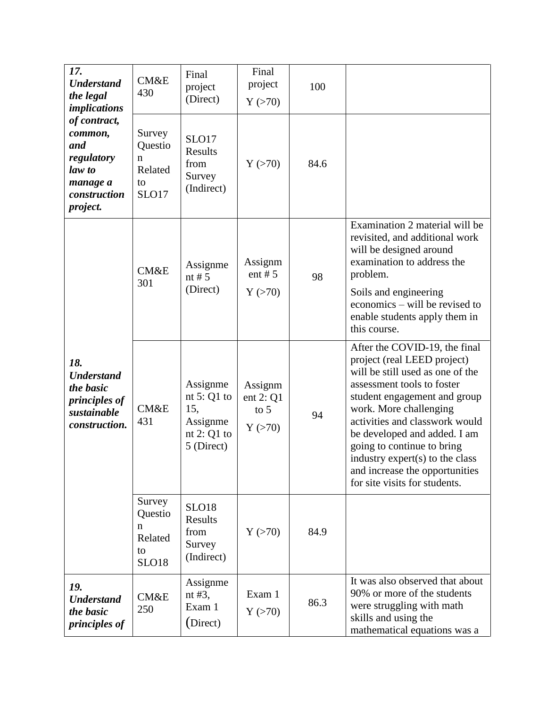| 17.<br><b>Understand</b><br>the legal<br><i>implications</i><br>of contract,<br>common,<br>and<br>regulatory<br>law to<br>manage a<br>construction<br>project. | CM&E<br>430                                                | Final<br>project<br>(Direct)                                              | Final<br>project<br>Y(>70)                | 100  |                                                                                                                                                                                                                                                                                                                                                                                                |
|----------------------------------------------------------------------------------------------------------------------------------------------------------------|------------------------------------------------------------|---------------------------------------------------------------------------|-------------------------------------------|------|------------------------------------------------------------------------------------------------------------------------------------------------------------------------------------------------------------------------------------------------------------------------------------------------------------------------------------------------------------------------------------------------|
|                                                                                                                                                                | Survey<br>Questio<br>$\mathbf n$<br>Related<br>to<br>SLO17 | SLO17<br><b>Results</b><br>from<br>Survey<br>(Indirect)                   | Y(>70)                                    | 84.6 |                                                                                                                                                                                                                                                                                                                                                                                                |
|                                                                                                                                                                | CM&E<br>301                                                | Assignme<br>nt # $5$<br>(Direct)                                          | Assignm<br>ent # $5$<br>Y(>70)            | 98   | Examination 2 material will be<br>revisited, and additional work<br>will be designed around<br>examination to address the<br>problem.<br>Soils and engineering<br>economics – will be revised to<br>enable students apply them in<br>this course.                                                                                                                                              |
| 18.<br><b>Understand</b><br>the basic<br><i>principles of</i><br>sustainable<br>construction.                                                                  | <b>CM&amp;E</b><br>431                                     | Assignme<br>nt $5:Q1$ to<br>15,<br>Assignme<br>nt $2:Q1$ to<br>5 (Direct) | Assignm<br>ent $2:Q1$<br>to $5$<br>Y(>70) | 94   | After the COVID-19, the final<br>project (real LEED project)<br>will be still used as one of the<br>assessment tools to foster<br>student engagement and group<br>work. More challenging<br>activities and classwork would<br>be developed and added. I am<br>going to continue to bring<br>industry expert(s) to the class<br>and increase the opportunities<br>for site visits for students. |
|                                                                                                                                                                | Survey<br>Questio<br>n<br>Related<br>to<br><b>SLO18</b>    | <b>SLO18</b><br><b>Results</b><br>from<br>Survey<br>(Indirect)            | Y(>70)                                    | 84.9 |                                                                                                                                                                                                                                                                                                                                                                                                |
| 19.<br><b>Understand</b><br>the basic<br><i>principles of</i>                                                                                                  | CM&E<br>250                                                | Assignme<br>nt $#3$ ,<br>Exam 1<br>(Direct)                               | Exam 1<br>Y(>70)                          | 86.3 | It was also observed that about<br>90% or more of the students<br>were struggling with math<br>skills and using the<br>mathematical equations was a                                                                                                                                                                                                                                            |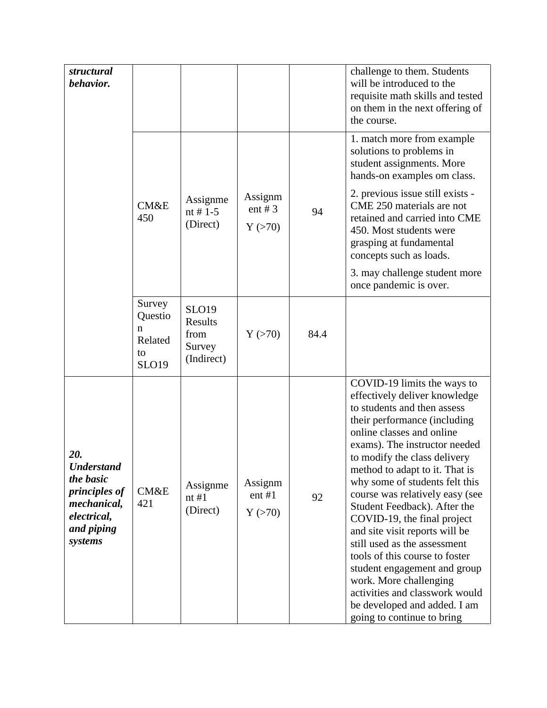| structural<br>behavior.                                                                                       |                                                         |                                                         |                                |      | challenge to them. Students<br>will be introduced to the<br>requisite math skills and tested<br>on them in the next offering of<br>the course.                                                                                                                                                                                                                                                                                                                                                                                                                                                                                                                |
|---------------------------------------------------------------------------------------------------------------|---------------------------------------------------------|---------------------------------------------------------|--------------------------------|------|---------------------------------------------------------------------------------------------------------------------------------------------------------------------------------------------------------------------------------------------------------------------------------------------------------------------------------------------------------------------------------------------------------------------------------------------------------------------------------------------------------------------------------------------------------------------------------------------------------------------------------------------------------------|
|                                                                                                               |                                                         |                                                         |                                |      | 1. match more from example<br>solutions to problems in<br>student assignments. More<br>hands-on examples om class.                                                                                                                                                                                                                                                                                                                                                                                                                                                                                                                                            |
|                                                                                                               | CM&E<br>450                                             | Assignme<br>nt # $1-5$<br>(Direct)                      | Assignm<br>ent # $3$<br>Y(>70) | 94   | 2. previous issue still exists -<br>CME 250 materials are not<br>retained and carried into CME<br>450. Most students were<br>grasping at fundamental<br>concepts such as loads.                                                                                                                                                                                                                                                                                                                                                                                                                                                                               |
|                                                                                                               |                                                         |                                                         |                                |      | 3. may challenge student more<br>once pandemic is over.                                                                                                                                                                                                                                                                                                                                                                                                                                                                                                                                                                                                       |
|                                                                                                               | Survey<br>Questio<br>n<br>Related<br>to<br><b>SLO19</b> | <b>SLO19</b><br>Results<br>from<br>Survey<br>(Indirect) | Y(>70)                         | 84.4 |                                                                                                                                                                                                                                                                                                                                                                                                                                                                                                                                                                                                                                                               |
| 20.<br><b>Understand</b><br>the basic<br>principles of<br>mechanical,<br>electrical,<br>and piping<br>systems | CM&E<br>421                                             | Assignme<br>nt#1<br>(Direct)                            | Assignm<br>$ent$ #1<br>Y(>70)  | 92   | COVID-19 limits the ways to<br>effectively deliver knowledge<br>to students and then assess<br>their performance (including<br>online classes and online<br>exams). The instructor needed<br>to modify the class delivery<br>method to adapt to it. That is<br>why some of students felt this<br>course was relatively easy (see<br>Student Feedback). After the<br>COVID-19, the final project<br>and site visit reports will be<br>still used as the assessment<br>tools of this course to foster<br>student engagement and group<br>work. More challenging<br>activities and classwork would<br>be developed and added. I am<br>going to continue to bring |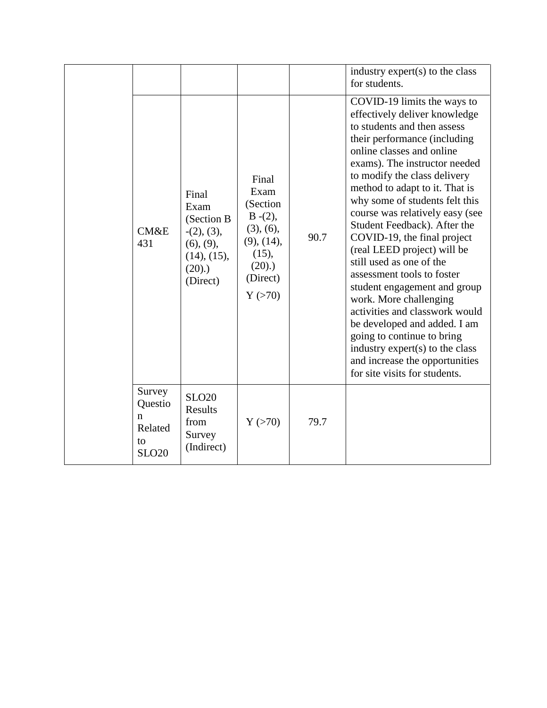|                                                         |                                                                                              |                                                                                                                |      | industry expert(s) to the class<br>for students.                                                                                                                                                                                                                                                                                                                                                                                                                                                                                                                                                                                                                                                                                                         |
|---------------------------------------------------------|----------------------------------------------------------------------------------------------|----------------------------------------------------------------------------------------------------------------|------|----------------------------------------------------------------------------------------------------------------------------------------------------------------------------------------------------------------------------------------------------------------------------------------------------------------------------------------------------------------------------------------------------------------------------------------------------------------------------------------------------------------------------------------------------------------------------------------------------------------------------------------------------------------------------------------------------------------------------------------------------------|
| <b>CM&amp;E</b><br>431                                  | Final<br>Exam<br>(Section B<br>$-(2), (3),$<br>(6), (9),<br>(14), (15),<br>(20).<br>(Direct) | Final<br>Exam<br>(Section<br>$B-(2),$<br>(3), (6),<br>$(9)$ , $(14)$ ,<br>(15),<br>(20).<br>(Direct)<br>Y(>70) | 90.7 | COVID-19 limits the ways to<br>effectively deliver knowledge<br>to students and then assess<br>their performance (including<br>online classes and online<br>exams). The instructor needed<br>to modify the class delivery<br>method to adapt to it. That is<br>why some of students felt this<br>course was relatively easy (see<br>Student Feedback). After the<br>COVID-19, the final project<br>(real LEED project) will be<br>still used as one of the<br>assessment tools to foster<br>student engagement and group<br>work. More challenging<br>activities and classwork would<br>be developed and added. I am<br>going to continue to bring<br>industry expert(s) to the class<br>and increase the opportunities<br>for site visits for students. |
| Survey<br>Questio<br>n<br>Related<br>to<br><b>SLO20</b> | <b>SLO20</b><br>Results<br>from<br>Survey<br>(Indirect)                                      | Y(>70)                                                                                                         | 79.7 |                                                                                                                                                                                                                                                                                                                                                                                                                                                                                                                                                                                                                                                                                                                                                          |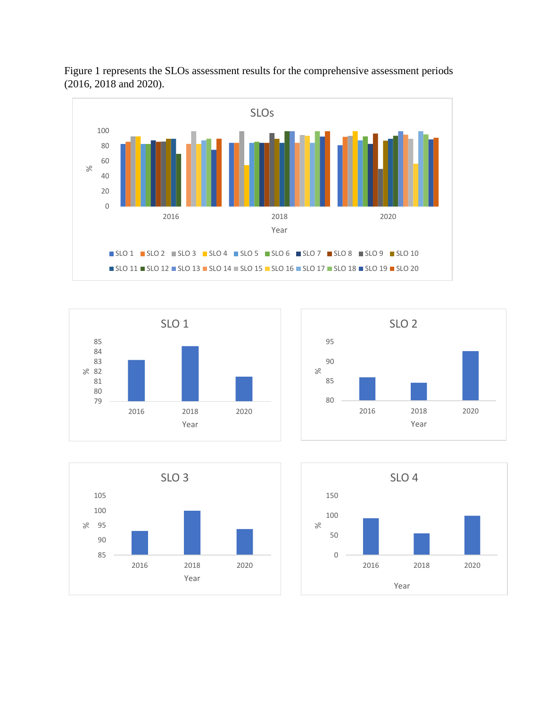









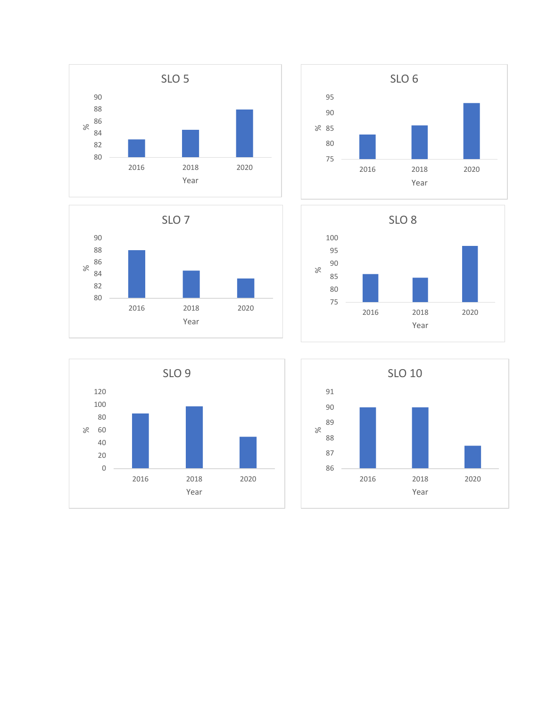









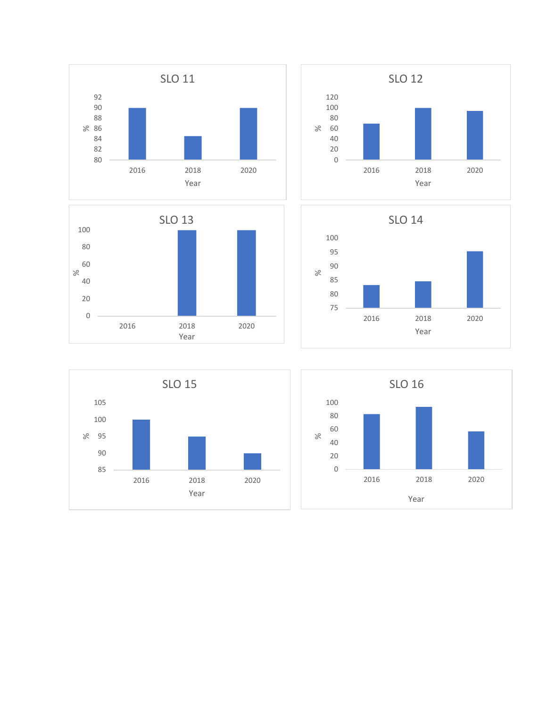









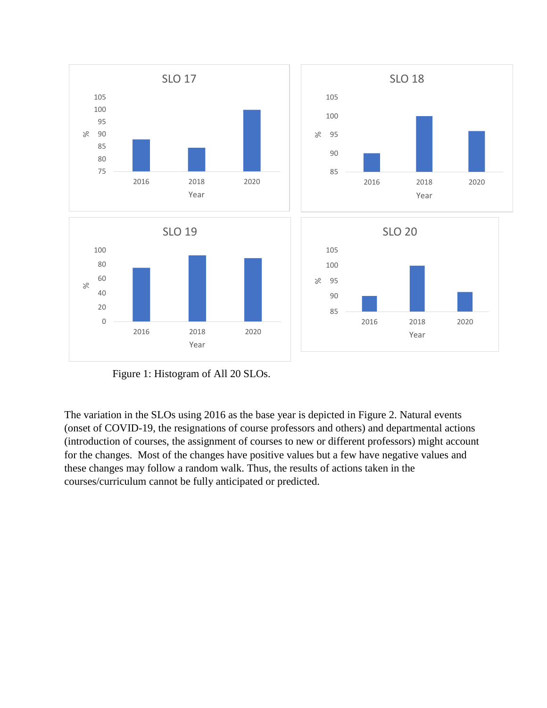

Figure 1: Histogram of All 20 SLOs.

The variation in the SLOs using 2016 as the base year is depicted in Figure 2. Natural events (onset of COVID-19, the resignations of course professors and others) and departmental actions (introduction of courses, the assignment of courses to new or different professors) might account for the changes. Most of the changes have positive values but a few have negative values and these changes may follow a random walk. Thus, the results of actions taken in the courses/curriculum cannot be fully anticipated or predicted.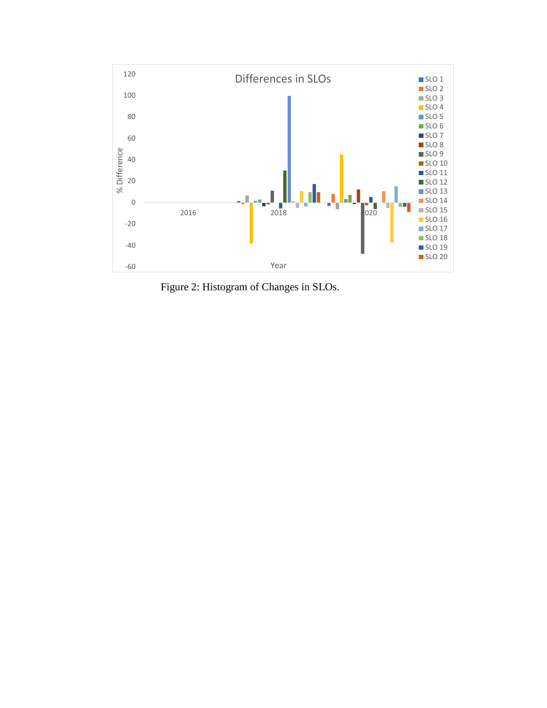

Figure 2: Histogram of Changes in SLOs.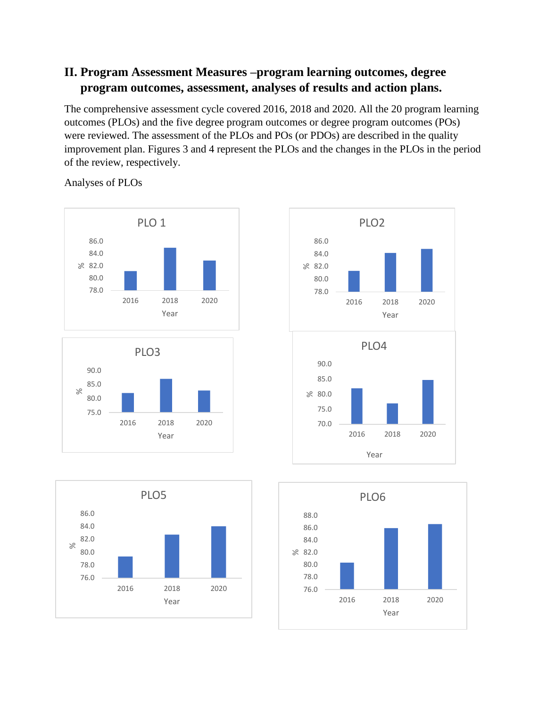## **II. Program Assessment Measures –program learning outcomes, degree program outcomes, assessment, analyses of results and action plans.**

The comprehensive assessment cycle covered 2016, 2018 and 2020. All the 20 program learning outcomes (PLOs) and the five degree program outcomes or degree program outcomes (POs) were reviewed. The assessment of the PLOs and POs (or PDOs) are described in the quality improvement plan. Figures 3 and 4 represent the PLOs and the changes in the PLOs in the period of the review, respectively.

Analyses of PLOs









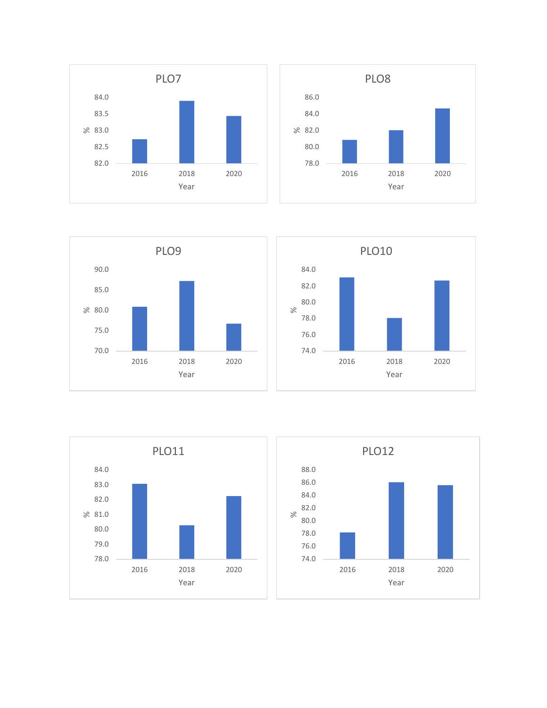









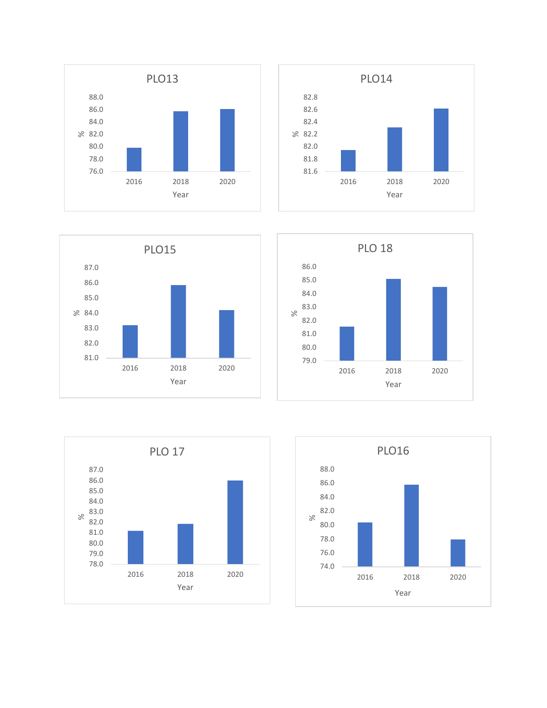









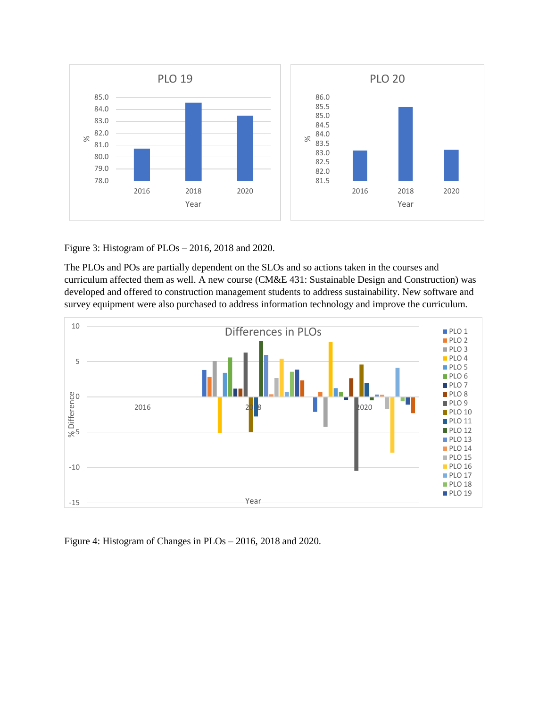

Figure 3: Histogram of PLOs – 2016, 2018 and 2020.

The PLOs and POs are partially dependent on the SLOs and so actions taken in the courses and curriculum affected them as well. A new course (CM&E 431: Sustainable Design and Construction) was developed and offered to construction management students to address sustainability. New software and survey equipment were also purchased to address information technology and improve the curriculum.



Figure 4: Histogram of Changes in PLOs – 2016, 2018 and 2020.